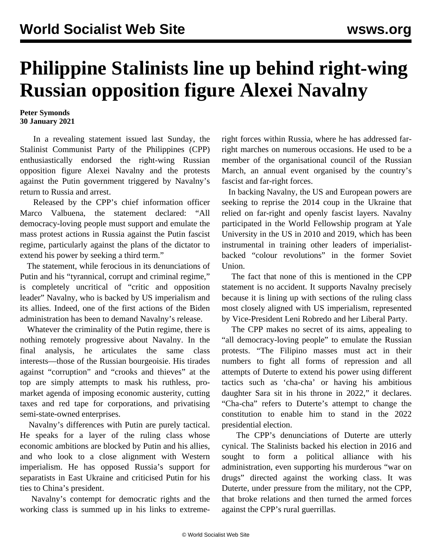## **Philippine Stalinists line up behind right-wing Russian opposition figure Alexei Navalny**

## **Peter Symonds 30 January 2021**

 In a revealing statement issued last Sunday, the Stalinist Communist Party of the Philippines (CPP) enthusiastically endorsed the right-wing Russian opposition figure Alexei Navalny and the protests against the Putin government triggered by Navalny's return to Russia and arrest.

 Released by the CPP's chief information officer Marco Valbuena, the statement declared: "All democracy-loving people must support and emulate the mass protest actions in Russia against the Putin fascist regime, particularly against the plans of the dictator to extend his power by seeking a third term."

 The statement, while ferocious in its denunciations of Putin and his "tyrannical, corrupt and criminal regime," is completely uncritical of "critic and opposition leader" Navalny, who is backed by US imperialism and its allies. Indeed, one of the first actions of the Biden administration has been to demand Navalny's release.

 Whatever the criminality of the Putin regime, there is nothing remotely progressive about Navalny. In the final analysis, he articulates the same class interests—those of the Russian bourgeoisie. His tirades against "corruption" and "crooks and thieves" at the top are simply attempts to mask his ruthless, promarket agenda of imposing economic austerity, cutting taxes and red tape for corporations, and privatising semi-state-owned enterprises.

 Navalny's differences with Putin are purely tactical. He speaks for a layer of the ruling class whose economic ambitions are blocked by Putin and his allies, and who look to a close alignment with Western imperialism. He has opposed Russia's support for separatists in East Ukraine and criticised Putin for his ties to China's president.

 Navalny's contempt for democratic rights and the working class is summed up in his links to extremeright forces within Russia, where he has addressed farright marches on numerous occasions. He used to be a member of the organisational council of the Russian March, an annual event organised by the country's fascist and far-right forces.

 In backing Navalny, the US and European powers are seeking to reprise the 2014 coup in the Ukraine that relied on far-right and openly fascist layers. Navalny participated in the World Fellowship program at Yale University in the US in 2010 and 2019, which has been instrumental in training other leaders of imperialistbacked "colour revolutions" in the former Soviet Union.

 The fact that none of this is mentioned in the CPP statement is no accident. It supports Navalny precisely because it is lining up with sections of the ruling class most closely aligned with US imperialism, represented by Vice-President Leni Robredo and her Liberal Party.

 The CPP makes no secret of its aims, appealing to "all democracy-loving people" to emulate the Russian protests. "The Filipino masses must act in their numbers to fight all forms of repression and all attempts of Duterte to extend his power using different tactics such as 'cha-cha' or having his ambitious daughter Sara sit in his throne in 2022," it declares. "Cha-cha" refers to Duterte's attempt to change the constitution to enable him to stand in the 2022 presidential election.

 The CPP's denunciations of Duterte are utterly cynical. The Stalinists backed his election in 2016 and sought to form a political alliance with his administration, even supporting his murderous "war on drugs" directed against the working class. It was Duterte, under pressure from the military, not the CPP, that broke relations and then turned the armed forces against the CPP's rural guerrillas.